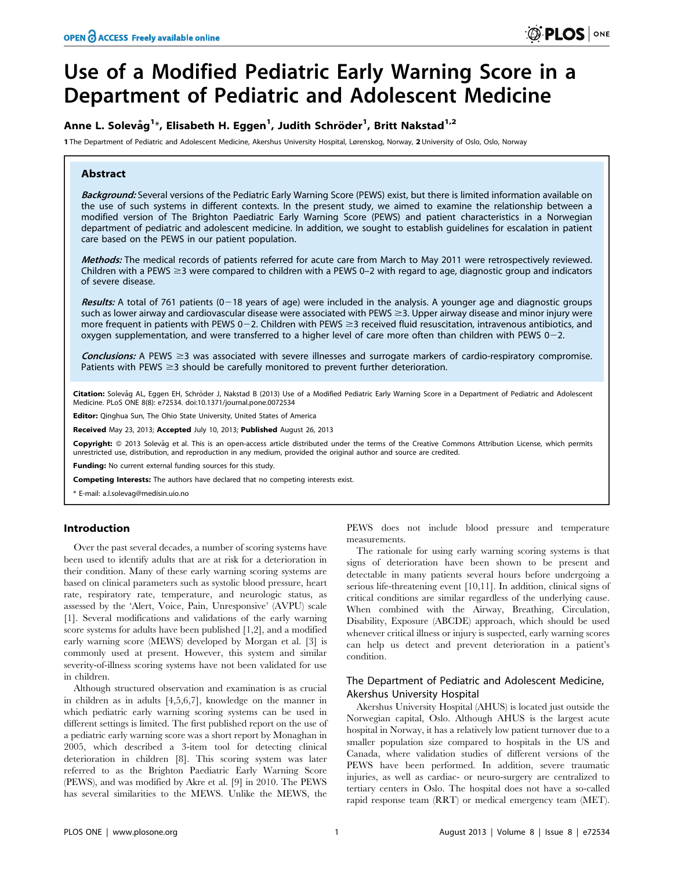# Use of a Modified Pediatric Early Warning Score in a Department of Pediatric and Adolescent Medicine

## Anne L. Solevåg<sup>1</sup>\*, Elisabeth H. Eggen<sup>1</sup>, Judith Schröder<sup>1</sup>, Britt Nakstad<sup>1,2</sup>

1 The Department of Pediatric and Adolescent Medicine, Akershus University Hospital, Lørenskog, Norway, 2 University of Oslo, Oslo, Norway

## Abstract

Background: Several versions of the Pediatric Early Warning Score (PEWS) exist, but there is limited information available on the use of such systems in different contexts. In the present study, we aimed to examine the relationship between a modified version of The Brighton Paediatric Early Warning Score (PEWS) and patient characteristics in a Norwegian department of pediatric and adolescent medicine. In addition, we sought to establish guidelines for escalation in patient care based on the PEWS in our patient population.

Methods: The medical records of patients referred for acute care from March to May 2011 were retrospectively reviewed. Children with a PEWS  $\geq$ 3 were compared to children with a PEWS 0–2 with regard to age, diagnostic group and indicators of severe disease.

Results: A total of 761 patients  $(0-18$  years of age) were included in the analysis. A younger age and diagnostic groups such as lower airway and cardiovascular disease were associated with PEWS  $\geq$ 3. Upper airway disease and minor injury were more frequent in patients with PEWS  $0-2$ . Children with PEWS  $\geq$ 3 received fluid resuscitation, intravenous antibiotics, and oxygen supplementation, and were transferred to a higher level of care more often than children with PEWS  $0-2$ .

**Conclusions:** A PEWS  $\geq$ 3 was associated with severe illnesses and surrogate markers of cardio-respiratory compromise. Patients with PEWS  $\geq$ 3 should be carefully monitored to prevent further deterioration.

Citation: Solevåg AL, Eggen EH, Schröder J, Nakstad B (2013) Use of a Modified Pediatric Early Warning Score in a Department of Pediatric and Adolescent Medicine. PLoS ONE 8(8): e72534. doi:10.1371/journal.pone.0072534

Editor: Qinghua Sun, The Ohio State University, United States of America

Received May 23, 2013; Accepted July 10, 2013; Published August 26, 2013

Copyright: © 2013 Solevåg et al. This is an open-access article distributed under the terms of the Creative Commons Attribution License, which permits unrestricted use, distribution, and reproduction in any medium, provided the original author and source are credited.

Funding: No current external funding sources for this study.

Competing Interests: The authors have declared that no competing interests exist.

\* E-mail: a.l.solevag@medisin.uio.no

## Introduction

Over the past several decades, a number of scoring systems have been used to identify adults that are at risk for a deterioration in their condition. Many of these early warning scoring systems are based on clinical parameters such as systolic blood pressure, heart rate, respiratory rate, temperature, and neurologic status, as assessed by the 'Alert, Voice, Pain, Unresponsive' (AVPU) scale [1]. Several modifications and validations of the early warning score systems for adults have been published [1,2], and a modified early warning score (MEWS) developed by Morgan et al. [3] is commonly used at present. However, this system and similar severity-of-illness scoring systems have not been validated for use in children.

Although structured observation and examination is as crucial in children as in adults [4,5,6,7], knowledge on the manner in which pediatric early warning scoring systems can be used in different settings is limited. The first published report on the use of a pediatric early warning score was a short report by Monaghan in 2005, which described a 3-item tool for detecting clinical deterioration in children [8]. This scoring system was later referred to as the Brighton Paediatric Early Warning Score (PEWS), and was modified by Akre et al. [9] in 2010. The PEWS has several similarities to the MEWS. Unlike the MEWS, the

PEWS does not include blood pressure and temperature measurements.

The rationale for using early warning scoring systems is that signs of deterioration have been shown to be present and detectable in many patients several hours before undergoing a serious life-threatening event [10,11]. In addition, clinical signs of critical conditions are similar regardless of the underlying cause. When combined with the Airway, Breathing, Circulation, Disability, Exposure (ABCDE) approach, which should be used whenever critical illness or injury is suspected, early warning scores can help us detect and prevent deterioration in a patient's condition.

## The Department of Pediatric and Adolescent Medicine, Akershus University Hospital

Akershus University Hospital (AHUS) is located just outside the Norwegian capital, Oslo. Although AHUS is the largest acute hospital in Norway, it has a relatively low patient turnover due to a smaller population size compared to hospitals in the US and Canada, where validation studies of different versions of the PEWS have been performed. In addition, severe traumatic injuries, as well as cardiac- or neuro-surgery are centralized to tertiary centers in Oslo. The hospital does not have a so-called rapid response team (RRT) or medical emergency team (MET).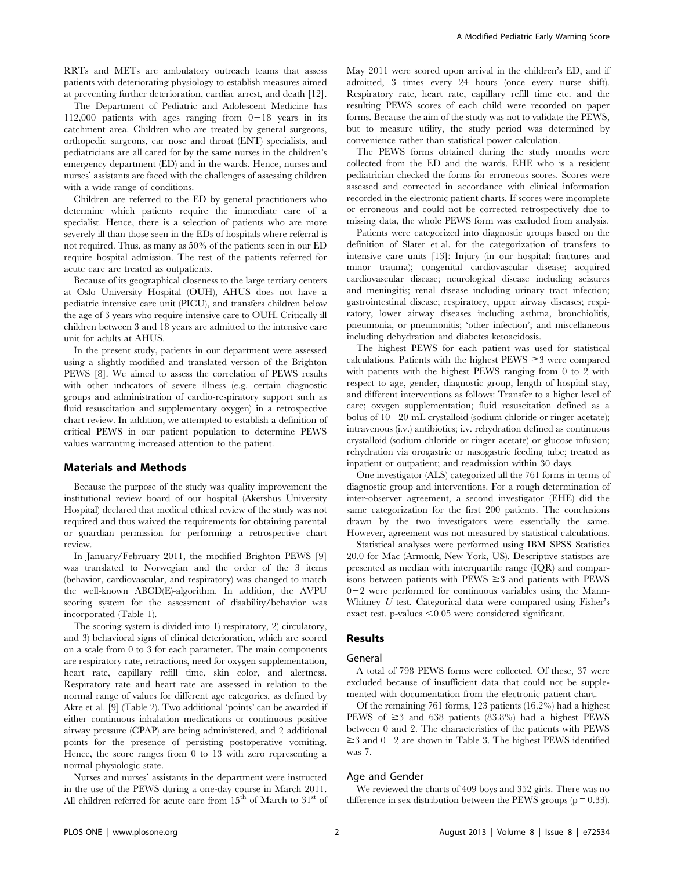RRTs and METs are ambulatory outreach teams that assess patients with deteriorating physiology to establish measures aimed at preventing further deterioration, cardiac arrest, and death [12].

The Department of Pediatric and Adolescent Medicine has 112,000 patients with ages ranging from  $0-18$  years in its catchment area. Children who are treated by general surgeons, orthopedic surgeons, ear nose and throat (ENT) specialists, and pediatricians are all cared for by the same nurses in the children's emergency department (ED) and in the wards. Hence, nurses and nurses' assistants are faced with the challenges of assessing children with a wide range of conditions.

Children are referred to the ED by general practitioners who determine which patients require the immediate care of a specialist. Hence, there is a selection of patients who are more severely ill than those seen in the EDs of hospitals where referral is not required. Thus, as many as 50% of the patients seen in our ED require hospital admission. The rest of the patients referred for acute care are treated as outpatients.

Because of its geographical closeness to the large tertiary centers at Oslo University Hospital (OUH), AHUS does not have a pediatric intensive care unit (PICU), and transfers children below the age of 3 years who require intensive care to OUH. Critically ill children between 3 and 18 years are admitted to the intensive care unit for adults at AHUS.

In the present study, patients in our department were assessed using a slightly modified and translated version of the Brighton PEWS [8]. We aimed to assess the correlation of PEWS results with other indicators of severe illness (e.g. certain diagnostic groups and administration of cardio-respiratory support such as fluid resuscitation and supplementary oxygen) in a retrospective chart review. In addition, we attempted to establish a definition of critical PEWS in our patient population to determine PEWS values warranting increased attention to the patient.

## Materials and Methods

Because the purpose of the study was quality improvement the institutional review board of our hospital (Akershus University Hospital) declared that medical ethical review of the study was not required and thus waived the requirements for obtaining parental or guardian permission for performing a retrospective chart review.

In January/February 2011, the modified Brighton PEWS [9] was translated to Norwegian and the order of the 3 items (behavior, cardiovascular, and respiratory) was changed to match the well-known ABCD(E)-algorithm. In addition, the AVPU scoring system for the assessment of disability/behavior was incorporated (Table 1).

The scoring system is divided into 1) respiratory, 2) circulatory, and 3) behavioral signs of clinical deterioration, which are scored on a scale from 0 to 3 for each parameter. The main components are respiratory rate, retractions, need for oxygen supplementation, heart rate, capillary refill time, skin color, and alertness. Respiratory rate and heart rate are assessed in relation to the normal range of values for different age categories, as defined by Akre et al. [9] (Table 2). Two additional 'points' can be awarded if either continuous inhalation medications or continuous positive airway pressure (CPAP) are being administered, and 2 additional points for the presence of persisting postoperative vomiting. Hence, the score ranges from 0 to 13 with zero representing a normal physiologic state.

Nurses and nurses' assistants in the department were instructed in the use of the PEWS during a one-day course in March 2011. All children referred for acute care from  $15<sup>th</sup>$  of March to  $31<sup>st</sup>$  of May 2011 were scored upon arrival in the children's ED, and if admitted, 3 times every 24 hours (once every nurse shift). Respiratory rate, heart rate, capillary refill time etc. and the resulting PEWS scores of each child were recorded on paper forms. Because the aim of the study was not to validate the PEWS, but to measure utility, the study period was determined by convenience rather than statistical power calculation.

The PEWS forms obtained during the study months were collected from the ED and the wards. EHE who is a resident pediatrician checked the forms for erroneous scores. Scores were assessed and corrected in accordance with clinical information recorded in the electronic patient charts. If scores were incomplete or erroneous and could not be corrected retrospectively due to missing data, the whole PEWS form was excluded from analysis.

Patients were categorized into diagnostic groups based on the definition of Slater et al. for the categorization of transfers to intensive care units [13]: Injury (in our hospital: fractures and minor trauma); congenital cardiovascular disease; acquired cardiovascular disease; neurological disease including seizures and meningitis; renal disease including urinary tract infection; gastrointestinal disease; respiratory, upper airway diseases; respiratory, lower airway diseases including asthma, bronchiolitis, pneumonia, or pneumonitis; 'other infection'; and miscellaneous including dehydration and diabetes ketoacidosis.

The highest PEWS for each patient was used for statistical calculations. Patients with the highest  $PEWS \geq 3$  were compared with patients with the highest PEWS ranging from 0 to 2 with respect to age, gender, diagnostic group, length of hospital stay, and different interventions as follows: Transfer to a higher level of care; oxygen supplementation; fluid resuscitation defined as a bolus of  $10-20$  mL crystalloid (sodium chloride or ringer acetate); intravenous (i.v.) antibiotics; i.v. rehydration defined as continuous crystalloid (sodium chloride or ringer acetate) or glucose infusion; rehydration via orogastric or nasogastric feeding tube; treated as inpatient or outpatient; and readmission within 30 days.

One investigator (ALS) categorized all the 761 forms in terms of diagnostic group and interventions. For a rough determination of inter-observer agreement, a second investigator (EHE) did the same categorization for the first 200 patients. The conclusions drawn by the two investigators were essentially the same. However, agreement was not measured by statistical calculations.

Statistical analyses were performed using IBM SPSS Statistics 20.0 for Mac (Armonk, New York, US). Descriptive statistics are presented as median with interquartile range (IQR) and comparisons between patients with  $PEWS \geq 3$  and patients with PEWS  $0-2$  were performed for continuous variables using the Mann-Whitney U test. Categorical data were compared using Fisher's exact test. p-values  $\leq 0.05$  were considered significant.

## Results

#### General

A total of 798 PEWS forms were collected. Of these, 37 were excluded because of insufficient data that could not be supplemented with documentation from the electronic patient chart.

Of the remaining 761 forms, 123 patients (16.2%) had a highest PEWS of  $\geq$ 3 and 638 patients (83.8%) had a highest PEWS between 0 and 2. The characteristics of the patients with PEWS  $\geq$ 3 and 0-2 are shown in Table 3. The highest PEWS identified was 7.

#### Age and Gender

We reviewed the charts of 409 boys and 352 girls. There was no difference in sex distribution between the PEWS groups ( $p = 0.33$ ).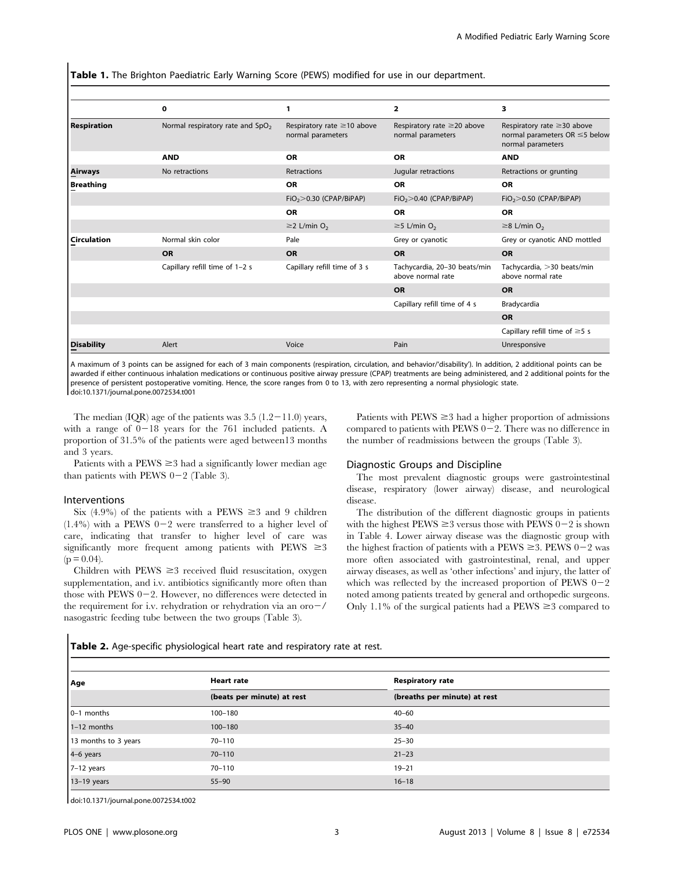Table 1. The Brighton Paediatric Early Warning Score (PEWS) modified for use in our department.

|                    | 0                                            | 1                                                     | $\overline{\mathbf{2}}$                               | з                                                                                            |
|--------------------|----------------------------------------------|-------------------------------------------------------|-------------------------------------------------------|----------------------------------------------------------------------------------------------|
| <b>Respiration</b> | Normal respiratory rate and SpO <sub>2</sub> | Respiratory rate $\geq$ 10 above<br>normal parameters | Respiratory rate $\geq$ 20 above<br>normal parameters | Respiratory rate $\geq$ 30 above<br>normal parameters OR $\leq$ 5 below<br>normal parameters |
|                    | <b>AND</b>                                   | <b>OR</b>                                             | <b>OR</b>                                             | <b>AND</b>                                                                                   |
| Airways            | No retractions                               | Retractions                                           | Jugular retractions                                   | Retractions or grunting                                                                      |
| <b>Breathing</b>   |                                              | <b>OR</b>                                             | <b>OR</b>                                             | <b>OR</b>                                                                                    |
|                    |                                              | $FiO2$ $> 0.30$ (CPAP/BiPAP)                          | $FiO2$ $> 0.40$ (CPAP/BiPAP)                          | $FiO2$ $> 0.50$ (CPAP/BiPAP)                                                                 |
|                    |                                              | OR                                                    | <b>OR</b>                                             | <b>OR</b>                                                                                    |
|                    |                                              | $\geq$ 2 L/min O <sub>2</sub>                         | $\geq$ 5 L/min O <sub>2</sub>                         | $\geq$ 8 L/min O <sub>2</sub>                                                                |
| <b>Circulation</b> | Normal skin color                            | Pale                                                  | Grey or cyanotic                                      | Grey or cyanotic AND mottled                                                                 |
|                    | <b>OR</b>                                    | OR                                                    | <b>OR</b>                                             | OR                                                                                           |
|                    | Capillary refill time of 1-2 s               | Capillary refill time of 3 s                          | Tachycardia, 20-30 beats/min<br>above normal rate     | Tachycardia, >30 beats/min<br>above normal rate                                              |
|                    |                                              |                                                       | <b>OR</b>                                             | <b>OR</b>                                                                                    |
|                    |                                              |                                                       | Capillary refill time of 4 s                          | Bradycardia                                                                                  |
|                    |                                              |                                                       |                                                       | OR                                                                                           |
|                    |                                              |                                                       |                                                       | Capillary refill time of $\geq$ 5 s                                                          |
| <b>Disability</b>  | Alert                                        | Voice                                                 | Pain                                                  | Unresponsive                                                                                 |

A maximum of 3 points can be assigned for each of 3 main components (respiration, circulation, and behavior/'disability'). In addition, 2 additional points can be awarded if either continuous inhalation medications or continuous positive airway pressure (CPAP) treatments are being administered, and 2 additional points for the presence of persistent postoperative vomiting. Hence, the score ranges from 0 to 13, with zero representing a normal physiologic state. doi:10.1371/journal.pone.0072534.t001

The median (IQR) age of the patients was  $3.5(1.2-11.0)$  years, with a range of  $0-18$  years for the 761 included patients. A proportion of 31.5% of the patients were aged between13 months and 3 years.

Patients with a  $PEWS \geq 3$  had a significantly lower median age than patients with PEWS  $0-2$  (Table 3).

#### Interventions

Six (4.9%) of the patients with a PEWS  $\geq$ 3 and 9 children  $(1.4\%)$  with a PEWS 0-2 were transferred to a higher level of care, indicating that transfer to higher level of care was significantly more frequent among patients with PEWS  $\geq 3$  $(p = 0.04)$ .

Children with  $PEWS \geq 3$  received fluid resuscitation, oxygen supplementation, and i.v. antibiotics significantly more often than those with PEWS  $0-2$ . However, no differences were detected in the requirement for i.v. rehydration or rehydration via an oro $-\prime$ nasogastric feeding tube between the two groups (Table 3).

Patients with  $PEWS \geq 3$  had a higher proportion of admissions compared to patients with PEWS  $0-2$ . There was no difference in the number of readmissions between the groups (Table 3).

#### Diagnostic Groups and Discipline

The most prevalent diagnostic groups were gastrointestinal disease, respiratory (lower airway) disease, and neurological disease.

The distribution of the different diagnostic groups in patients with the highest  $PEWS \geq 3$  versus those with  $PEWS 0-2$  is shown in Table 4. Lower airway disease was the diagnostic group with the highest fraction of patients with a PEWS  $\geq$ 3. PEWS 0-2 was more often associated with gastrointestinal, renal, and upper airway diseases, as well as 'other infections' and injury, the latter of which was reflected by the increased proportion of PEWS  $0-2$ noted among patients treated by general and orthopedic surgeons. Only 1.1% of the surgical patients had a  $PEWS \ge 3$  compared to

Table 2. Age-specific physiological heart rate and respiratory rate at rest.

| Age                  | <b>Heart rate</b>          | <b>Respiratory rate</b>      |  |
|----------------------|----------------------------|------------------------------|--|
|                      | (beats per minute) at rest | (breaths per minute) at rest |  |
| $0-1$ months         | 100-180                    | $40 - 60$                    |  |
| $1-12$ months        | $100 - 180$                | $35 - 40$                    |  |
| 13 months to 3 years | $70 - 110$                 | $25 - 30$                    |  |
| 4-6 years            | $70 - 110$                 | $21 - 23$                    |  |
| 7-12 years           | $70 - 110$                 | $19 - 21$                    |  |
| $13-19$ years        | $55 - 90$                  | $16 - 18$                    |  |

doi:10.1371/journal.pone.0072534.t002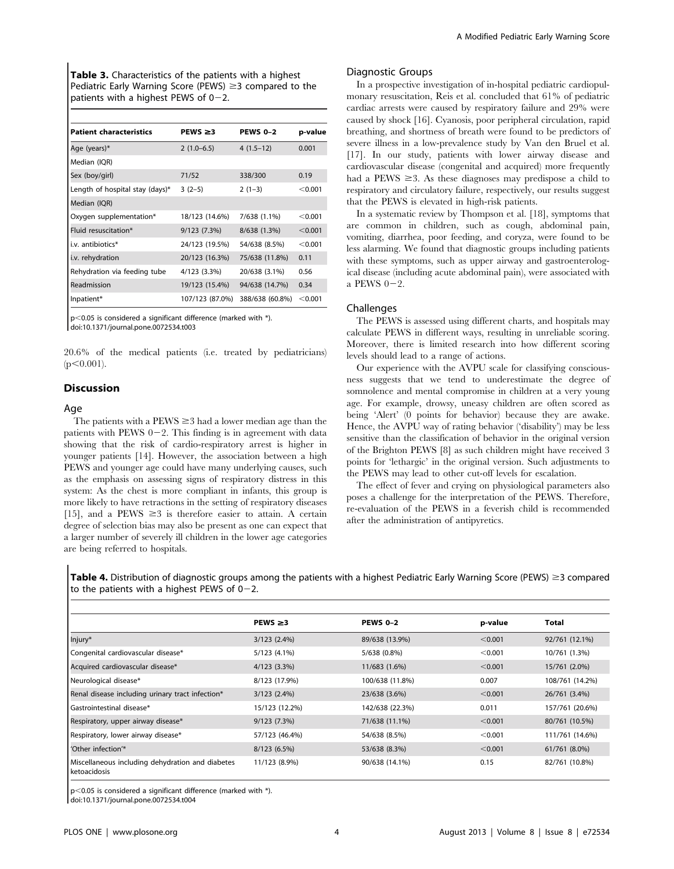Table 3. Characteristics of the patients with a highest Pediatric Early Warning Score (PEWS)  $\geq$ 3 compared to the patients with a highest PEWS of  $0-2$ .

| <b>Patient characteristics</b>  | $PEWS \geq 3$   | <b>PEWS 0-2</b> | p-value |
|---------------------------------|-----------------|-----------------|---------|
| Age (years)*                    | $2(1.0-6.5)$    | $4(1.5-12)$     | 0.001   |
| Median (IQR)                    |                 |                 |         |
| Sex (boy/girl)                  | 71/52           | 338/300         | 0.19    |
| Length of hospital stay (days)* | $3(2-5)$        | $2(1-3)$        | < 0.001 |
| Median (IQR)                    |                 |                 |         |
| Oxygen supplementation*         | 18/123 (14.6%)  | 7/638 (1.1%)    | < 0.001 |
| Fluid resuscitation*            | 9/123 (7.3%)    | 8/638 (1.3%)    | < 0.001 |
| i.v. antibiotics*               | 24/123 (19.5%)  | 54/638 (8.5%)   | < 0.001 |
| i.v. rehydration                | 20/123 (16.3%)  | 75/638 (11.8%)  | 0.11    |
| Rehydration via feeding tube    | 4/123 (3.3%)    | 20/638 (3.1%)   | 0.56    |
| Readmission                     | 19/123 (15.4%)  | 94/638 (14.7%)  | 0.34    |
| Inpatient*                      | 107/123 (87.0%) | 388/638 (60.8%) | < 0.001 |

 $\vert$  p<0.05 is considered a significant difference (marked with  $^*$ ). doi:10.1371/journal.pone.0072534.t003

20.6% of the medical patients (i.e. treated by pediatricians)  $(p<0.001)$ .

## Discussion

#### Age

The patients with a  $PEWS \geq 3$  had a lower median age than the patients with PEWS  $0-2$ . This finding is in agreement with data showing that the risk of cardio-respiratory arrest is higher in younger patients [14]. However, the association between a high PEWS and younger age could have many underlying causes, such as the emphasis on assessing signs of respiratory distress in this system: As the chest is more compliant in infants, this group is more likely to have retractions in the setting of respiratory diseases [15], and a PEWS  $\geq$ 3 is therefore easier to attain. A certain degree of selection bias may also be present as one can expect that a larger number of severely ill children in the lower age categories are being referred to hospitals.

## Diagnostic Groups

In a prospective investigation of in-hospital pediatric cardiopulmonary resuscitation, Reis et al. concluded that 61% of pediatric cardiac arrests were caused by respiratory failure and 29% were caused by shock [16]. Cyanosis, poor peripheral circulation, rapid breathing, and shortness of breath were found to be predictors of severe illness in a low-prevalence study by Van den Bruel et al. [17]. In our study, patients with lower airway disease and cardiovascular disease (congenital and acquired) more frequently had a PEWS  $\geq$ 3. As these diagnoses may predispose a child to respiratory and circulatory failure, respectively, our results suggest that the PEWS is elevated in high-risk patients.

In a systematic review by Thompson et al. [18], symptoms that are common in children, such as cough, abdominal pain, vomiting, diarrhea, poor feeding, and coryza, were found to be less alarming. We found that diagnostic groups including patients with these symptoms, such as upper airway and gastroenterological disease (including acute abdominal pain), were associated with a PEWS  $0-2$ .

#### Challenges

The PEWS is assessed using different charts, and hospitals may calculate PEWS in different ways, resulting in unreliable scoring. Moreover, there is limited research into how different scoring levels should lead to a range of actions.

Our experience with the AVPU scale for classifying consciousness suggests that we tend to underestimate the degree of somnolence and mental compromise in children at a very young age. For example, drowsy, uneasy children are often scored as being 'Alert' (0 points for behavior) because they are awake. Hence, the AVPU way of rating behavior ('disability') may be less sensitive than the classification of behavior in the original version of the Brighton PEWS [8] as such children might have received 3 points for 'lethargic' in the original version. Such adjustments to the PEWS may lead to other cut-off levels for escalation.

The effect of fever and crying on physiological parameters also poses a challenge for the interpretation of the PEWS. Therefore, re-evaluation of the PEWS in a feverish child is recommended after the administration of antipyretics.

Table 4. Distribution of diagnostic groups among the patients with a highest Pediatric Early Warning Score (PEWS)  $\geq$ 3 compared to the patients with a highest PEWS of  $0-2$ .

|                                                                  | $PEWS \geq 3$     | <b>PEWS 0-2</b> | p-value | Total           |
|------------------------------------------------------------------|-------------------|-----------------|---------|-----------------|
| Injury*                                                          | $3/123$ $(2.4\%)$ | 89/638 (13.9%)  | < 0.001 | 92/761 (12.1%)  |
| Congenital cardiovascular disease*                               | 5/123 (4.1%)      | 5/638 (0.8%)    | < 0.001 | 10/761 (1.3%)   |
| Acquired cardiovascular disease*                                 | 4/123(3.3%)       | 11/683 (1.6%)   | < 0.001 | 15/761 (2.0%)   |
| Neurological disease*                                            | 8/123 (17.9%)     | 100/638 (11.8%) | 0.007   | 108/761 (14.2%) |
| Renal disease including urinary tract infection*                 | $3/123$ $(2.4\%)$ | 23/638 (3.6%)   | < 0.001 | 26/761 (3.4%)   |
| Gastrointestinal disease*                                        | 15/123 (12.2%)    | 142/638 (22.3%) | 0.011   | 157/761 (20.6%) |
| Respiratory, upper airway disease*                               | 9/123 (7.3%)      | 71/638 (11.1%)  | < 0.001 | 80/761 (10.5%)  |
| Respiratory, lower airway disease*                               | 57/123 (46.4%)    | 54/638 (8.5%)   | < 0.001 | 111/761 (14.6%) |
| 'Other infection'*                                               | 8/123 (6.5%)      | 53/638 (8.3%)   | < 0.001 | 61/761 (8.0%)   |
| Miscellaneous including dehydration and diabetes<br>ketoacidosis | 11/123 (8.9%)     | 90/638 (14.1%)  | 0.15    | 82/761 (10.8%)  |

 $p$ <0.05 is considered a significant difference (marked with  $*$ ).

doi:10.1371/journal.pone.0072534.t004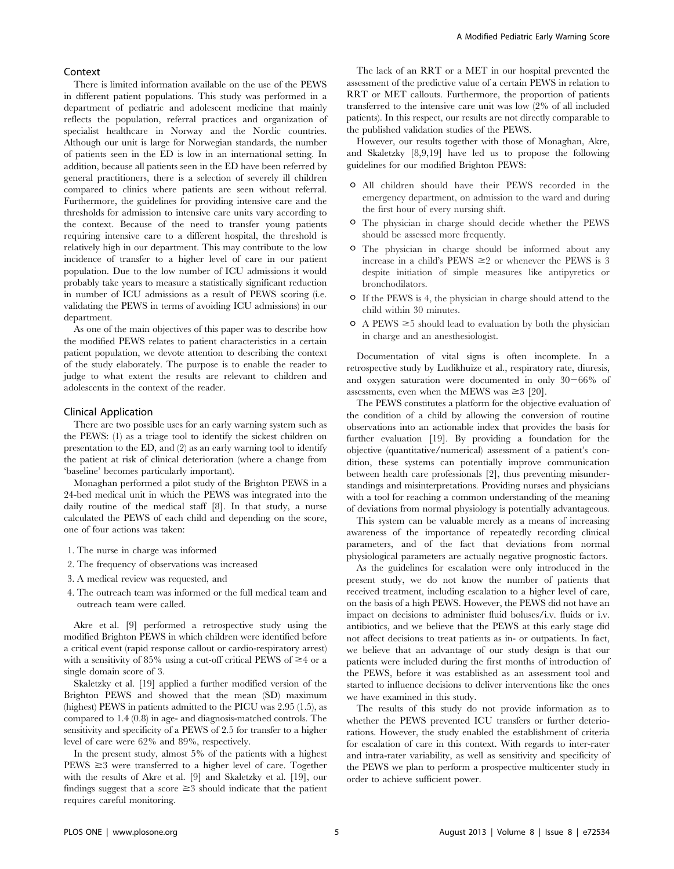#### Context

There is limited information available on the use of the PEWS in different patient populations. This study was performed in a department of pediatric and adolescent medicine that mainly reflects the population, referral practices and organization of specialist healthcare in Norway and the Nordic countries. Although our unit is large for Norwegian standards, the number of patients seen in the ED is low in an international setting. In addition, because all patients seen in the ED have been referred by general practitioners, there is a selection of severely ill children compared to clinics where patients are seen without referral. Furthermore, the guidelines for providing intensive care and the thresholds for admission to intensive care units vary according to the context. Because of the need to transfer young patients requiring intensive care to a different hospital, the threshold is relatively high in our department. This may contribute to the low incidence of transfer to a higher level of care in our patient population. Due to the low number of ICU admissions it would probably take years to measure a statistically significant reduction in number of ICU admissions as a result of PEWS scoring (i.e. validating the PEWS in terms of avoiding ICU admissions) in our department.

As one of the main objectives of this paper was to describe how the modified PEWS relates to patient characteristics in a certain patient population, we devote attention to describing the context of the study elaborately. The purpose is to enable the reader to judge to what extent the results are relevant to children and adolescents in the context of the reader.

## Clinical Application

There are two possible uses for an early warning system such as the PEWS: (1) as a triage tool to identify the sickest children on presentation to the ED, and (2) as an early warning tool to identify the patient at risk of clinical deterioration (where a change from 'baseline' becomes particularly important).

Monaghan performed a pilot study of the Brighton PEWS in a 24-bed medical unit in which the PEWS was integrated into the daily routine of the medical staff [8]. In that study, a nurse calculated the PEWS of each child and depending on the score, one of four actions was taken:

- 1. The nurse in charge was informed
- 2. The frequency of observations was increased
- 3. A medical review was requested, and
- 4. The outreach team was informed or the full medical team and outreach team were called.

Akre et al. [9] performed a retrospective study using the modified Brighton PEWS in which children were identified before a critical event (rapid response callout or cardio-respiratory arrest) with a sensitivity of 85% using a cut-off critical PEWS of  $\geq$ 4 or a single domain score of 3.

Skaletzky et al. [19] applied a further modified version of the Brighton PEWS and showed that the mean (SD) maximum (highest) PEWS in patients admitted to the PICU was 2.95 (1.5), as compared to 1.4 (0.8) in age- and diagnosis-matched controls. The sensitivity and specificity of a PEWS of 2.5 for transfer to a higher level of care were 62% and 89%, respectively.

In the present study, almost 5% of the patients with a highest  $PEWS \geq 3$  were transferred to a higher level of care. Together with the results of Akre et al. [9] and Skaletzky et al. [19], our findings suggest that a score  $\geq$ 3 should indicate that the patient requires careful monitoring.

The lack of an RRT or a MET in our hospital prevented the assessment of the predictive value of a certain PEWS in relation to RRT or MET callouts. Furthermore, the proportion of patients transferred to the intensive care unit was low (2% of all included patients). In this respect, our results are not directly comparable to the published validation studies of the PEWS.

However, our results together with those of Monaghan, Akre, and Skaletzky [8,9,19] have led us to propose the following guidelines for our modified Brighton PEWS:

- $\circ$  All children should have their PEWS recorded in the emergency department, on admission to the ward and during the first hour of every nursing shift.
- $\circ$  The physician in charge should decide whether the PEWS should be assessed more frequently.
- The physician in charge should be informed about any increase in a child's PEWS  $\geq 2$  or whenever the PEWS is 3 despite initiation of simple measures like antipyretics or bronchodilators.
- If the PEWS is 4, the physician in charge should attend to the child within 30 minutes.
- $\circ$  A PEWS  $\geq$ 5 should lead to evaluation by both the physician in charge and an anesthesiologist.

Documentation of vital signs is often incomplete. In a retrospective study by Ludikhuize et al., respiratory rate, diuresis, and oxygen saturation were documented in only  $30-66%$  of assessments, even when the MEWS was  $\geq 3$  [20].

The PEWS constitutes a platform for the objective evaluation of the condition of a child by allowing the conversion of routine observations into an actionable index that provides the basis for further evaluation [19]. By providing a foundation for the objective (quantitative/numerical) assessment of a patient's condition, these systems can potentially improve communication between health care professionals [2], thus preventing misunderstandings and misinterpretations. Providing nurses and physicians with a tool for reaching a common understanding of the meaning of deviations from normal physiology is potentially advantageous.

This system can be valuable merely as a means of increasing awareness of the importance of repeatedly recording clinical parameters, and of the fact that deviations from normal physiological parameters are actually negative prognostic factors.

As the guidelines for escalation were only introduced in the present study, we do not know the number of patients that received treatment, including escalation to a higher level of care, on the basis of a high PEWS. However, the PEWS did not have an impact on decisions to administer fluid boluses/i.v. fluids or i.v. antibiotics, and we believe that the PEWS at this early stage did not affect decisions to treat patients as in- or outpatients. In fact, we believe that an advantage of our study design is that our patients were included during the first months of introduction of the PEWS, before it was established as an assessment tool and started to influence decisions to deliver interventions like the ones we have examined in this study.

The results of this study do not provide information as to whether the PEWS prevented ICU transfers or further deteriorations. However, the study enabled the establishment of criteria for escalation of care in this context. With regards to inter-rater and intra-rater variability, as well as sensitivity and specificity of the PEWS we plan to perform a prospective multicenter study in order to achieve sufficient power.